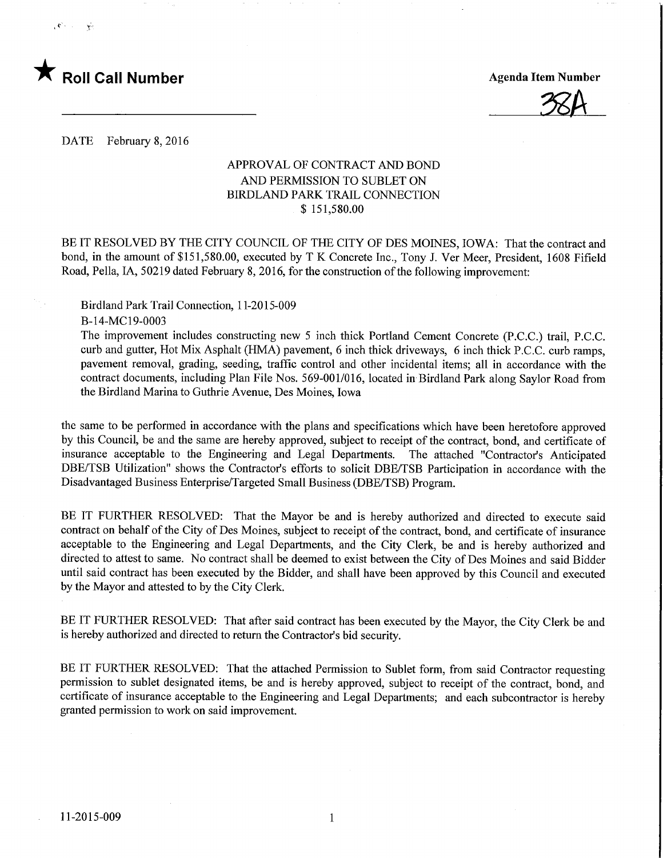

%A

DATE February 8, 2016

## APPROVAL OF CONTRACT AND BOND AND PERMISSION TO SUBLET ON BIRDLAND PARK TRAIL CONNECTION \$ 151,580.00

BE IT RESOLVED BY THE CITY COUNCIL OF THE CITY OF DES MOINES, IOWA: That the contract and bond, in the amount of \$151,580.00, executed by T K Concrete Inc., Tony J. Ver Meer, President, 1608 Fifield Road, Pella, IA, 50219 dated February 8, 2016, for the construction of the following improvement:

Birdland Park Trail Connection, 1 1-2015-009

B-14-MC 19-0003

The improvement includes constructing new 5 inch thick Portland Cement Concrete (P.C.C.) trail, P.C.C. curb and gutter. Hot Mix Asphalt (HMA) pavement, 6 inch thick driveways, 6 inch thick P.C.C. curb ramps, pavement removal, grading, seeding, traffic control and other incidental items; all in accordance with the contract documents, including Plan File Nos. 569-001/016, located in Birdland Park along Saylor Road from the Birdland Marina to Guthrie Avenue, Des Moines, Iowa

the same to be performed in accordance with the plans and specifications which have been heretofore approved by this Council, be and the same are hereby approved, subject to receipt of the contract, bond, and certificate of insurance acceptable to the Engineering and Legal Departments. The attached "Contractor's Anticipated DBE/TSB Utilization" shows the Contractor's efforts to solicit DBE/TSB Participation in accordance with the Disadvantaged Business Enterprise/Targeted Small Business (DBE/TSB) Program.

BE IT FURTHER RESOLVED: That the Mayor be and is hereby authorized and directed to execute said contract on behalf of the City of Des Moines, subject to receipt of the contract, bond, and certificate of insurance acceptable to the Engineering and Legal Departments, and the City Clerk, be and is hereby authorized and directed to attest to same. No contract shall be deemed to exist between the City of Des Moines and said Bidder until said contract has been executed by the Bidder, and shall have been approved by this Council and executed by the Mayor and attested to by the City Clerk.

BE IT FURTHER RESOLVED: That after said contract has been executed by the Mayor, the City Clerk be and is hereby authorized and directed to return the Contractor's bid security.

BE IT FURTHER RESOLVED: That the attached Permission to Sublet form, from said Contractor requesting permission to sublet designated items, be and is hereby approved, subject to receipt of the contract, bond, and certificate of insurance acceptable to the Engineering and Legal Departments; and each subcontractor is hereby granted permission to work on said improvement.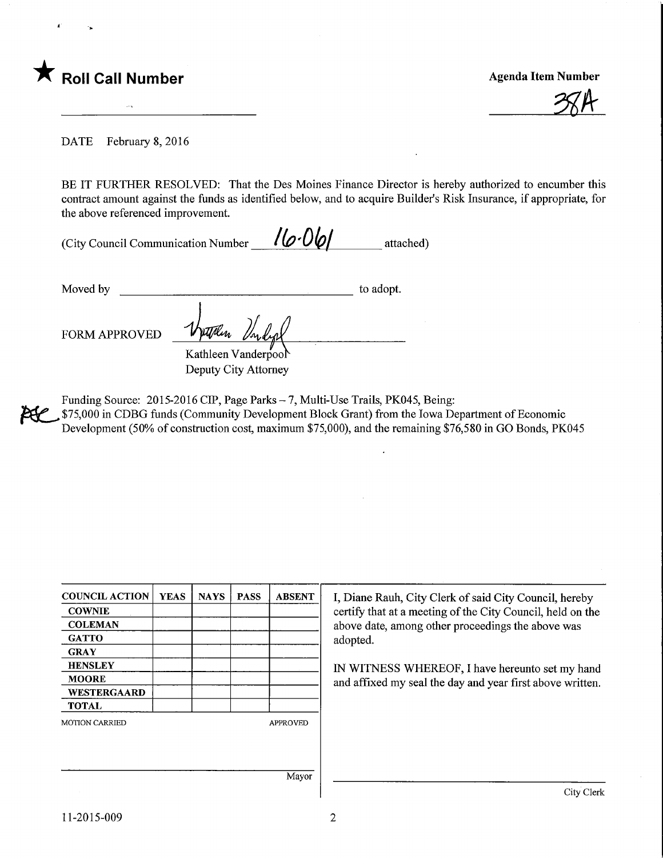

**Agenda Item Number** 

DATE February 8, 2016

BE IT FURTHER RESOLVED: That the Des Moines Finance Director is hereby authorized to encumber this contract amount against the funds as identified below, and to acquire Builder's Risk Insurance, if appropriate, for the above referenced improvement.

| (City Council Communication Number | $16 - 061$ | attached) |
|------------------------------------|------------|-----------|
|                                    |            |           |

Moved by to adopt. **tJilin** FORM APPROVED

> Kathleen Vanderpool Deputy City Attorney

Funding Source: 2015-2016 CIP, Page Parks - 7, Multi-Use Trails, PK045, Being: \$75,000 in CDBG funds (Community Development Block Grant) from the Iowa Department of Economic Development (50% of construction cost, maximum \$75,000), and the remaining \$76,580 in GO Bonds, PK045

| <b>COUNCIL ACTION</b> | <b>YEAS</b> | <b>NAYS</b> | <b>PASS</b> | <b>ABSENT</b>   | I, Diane Rauh, City Clerk of said City Council, hereby     |
|-----------------------|-------------|-------------|-------------|-----------------|------------------------------------------------------------|
| <b>COWNIE</b>         |             |             |             |                 | certify that at a meeting of the City Council, held on the |
| <b>COLEMAN</b>        |             |             |             |                 | above date, among other proceedings the above was          |
| <b>GATTO</b>          |             |             |             |                 | adopted.                                                   |
| <b>GRAY</b>           |             |             |             |                 |                                                            |
| <b>HENSLEY</b>        |             |             |             |                 | IN WITNESS WHEREOF, I have hereunto set my hand            |
| <b>MOORE</b>          |             |             |             |                 | and affixed my seal the day and year first above written.  |
| <b>WESTERGAARD</b>    |             |             |             |                 |                                                            |
| <b>TOTAL</b>          |             |             |             |                 |                                                            |
| <b>MOTION CARRIED</b> |             |             |             | <b>APPROVED</b> |                                                            |
|                       |             |             |             |                 |                                                            |
|                       |             |             |             |                 |                                                            |
|                       |             |             |             | Mayor           |                                                            |
|                       |             |             |             |                 | City Clerk                                                 |